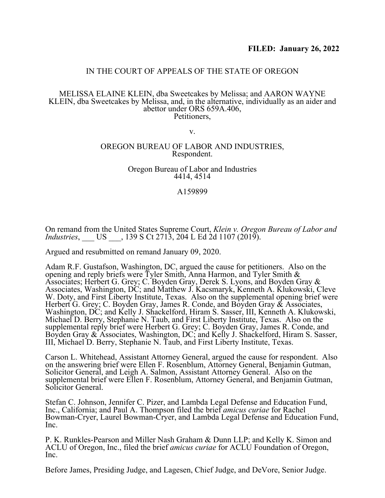# IN THE COURT OF APPEALS OF THE STATE OF OREGON

#### MELISSA ELAINE KLEIN, dba Sweetcakes by Melissa; and AARON WAYNE KLEIN, dba Sweetcakes by Melissa, and, in the alternative, individually as an aider and abettor under ORS 659A.406, Petitioners,

v.

#### OREGON BUREAU OF LABOR AND INDUSTRIES, Respondent.

#### Oregon Bureau of Labor and Industries 4414, 4514

### A159899

On remand from the United States Supreme Court, *Klein v. Oregon Bureau of Labor and Industries*, \_\_\_ US \_\_\_, 139 S Ct 2713, 204 L Ed 2d 1107 (2019).

Argued and resubmitted on remand January 09, 2020.

Adam R.F. Gustafson, Washington, DC, argued the cause for petitioners. Also on the opening and reply briefs were Tyler Smith, Anna Harmon, and Tyler Smith & Associates; Herbert G. Grey; C. Boyden Gray, Derek S. Lyons, and Boyden Gray & Associates, Washington, DC; and Matthew J. Kacsmaryk, Kenneth A. Klukowski, Cleve W. Doty, and First Liberty Institute, Texas. Also on the supplemental opening brief were Herbert G. Grey; C. Boyden Gray, James R. Conde, and Boyden Gray  $\&$  Associates, Washington, DC; and Kelly J. Shackelford, Hiram S. Sasser, III, Kenneth A. Klukowski, Michael D. Berry, Stephanie N. Taub, and First Liberty Institute, Texas. Also on the supplemental reply brief were Herbert G. Grey; C. Boyden Gray, James R. Conde, and Boyden Gray & Associates, Washington, DC; and Kelly J. Shackelford, Hiram S. Sasser, III, Michael D. Berry, Stephanie N. Taub, and First Liberty Institute, Texas.

Carson L. Whitehead, Assistant Attorney General, argued the cause for respondent. Also on the answering brief were Ellen F. Rosenblum, Attorney General, Benjamin Gutman, Solicitor General, and Leigh A. Salmon, Assistant Attorney General. Also on the supplemental brief were Ellen F. Rosenblum, Attorney General, and Benjamin Gutman, Solicitor General.

Stefan C. Johnson, Jennifer C. Pizer, and Lambda Legal Defense and Education Fund, Inc., California; and Paul A. Thompson filed the brief *amicus curiae* for Rachel Bowman-Cryer, Laurel Bowman-Cryer, and Lambda Legal Defense and Education Fund, Inc.

P. K. Runkles-Pearson and Miller Nash Graham & Dunn LLP; and Kelly K. Simon and ACLU of Oregon, Inc., filed the brief *amicus curiae* for ACLU Foundation of Oregon, Inc.

Before James, Presiding Judge, and Lagesen, Chief Judge, and DeVore, Senior Judge.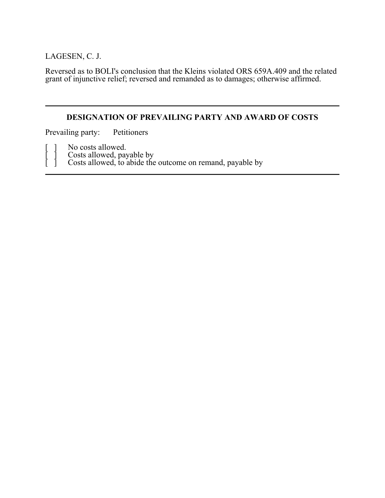LAGESEN, C. J.

Reversed as to BOLI's conclusion that the Kleins violated ORS 659A.409 and the related grant of injunctive relief; reversed and remanded as to damages; otherwise affirmed.

# **DESIGNATION OF PREVAILING PARTY AND AWARD OF COSTS**

Prevailing party: Petitioners

[ ] No costs allowed.

[ ] Costs allowed, payable by

[ ] Costs allowed, to abide the outcome on remand, payable by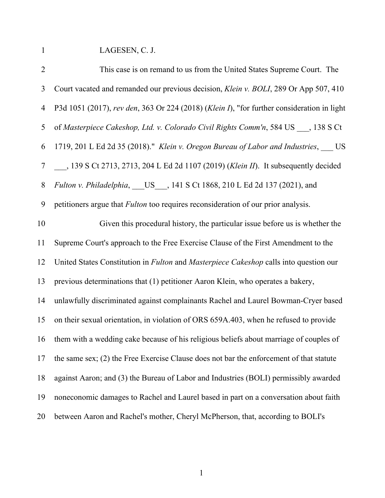1 LAGESEN, C. J.

| $\overline{2}$ | This case is on remand to us from the United States Supreme Court. The                              |
|----------------|-----------------------------------------------------------------------------------------------------|
| $\mathfrak{Z}$ | Court vacated and remanded our previous decision, Klein v. BOLI, 289 Or App 507, 410                |
| $\overline{4}$ | P3d 1051 (2017), rev den, 363 Or 224 (2018) (Klein I), "for further consideration in light          |
| 5              | of Masterpiece Cakeshop, Ltd. v. Colorado Civil Rights Comm'n, 584 US, 138 S Ct                     |
| 6              | 1719, 201 L Ed 2d 35 (2018)." Klein v. Oregon Bureau of Labor and Industries, US                    |
| $\tau$         | __, 139 S Ct 2713, 2713, 204 L Ed 2d 1107 (2019) (Klein II). It subsequently decided                |
| 8              | Fulton v. Philadelphia, US __ , 141 S Ct 1868, 210 L Ed 2d 137 (2021), and                          |
| 9              | petitioners argue that <i>Fulton</i> too requires reconsideration of our prior analysis.            |
| 10             | Given this procedural history, the particular issue before us is whether the                        |
| 11             | Supreme Court's approach to the Free Exercise Clause of the First Amendment to the                  |
| 12             | United States Constitution in <i>Fulton</i> and <i>Masterpiece Cakeshop</i> calls into question our |
| 13             | previous determinations that (1) petitioner Aaron Klein, who operates a bakery,                     |
| 14             | unlawfully discriminated against complainants Rachel and Laurel Bowman-Cryer based                  |
| 15             | on their sexual orientation, in violation of ORS 659A.403, when he refused to provide               |
| 16             | them with a wedding cake because of his religious beliefs about marriage of couples of              |
| 17             | the same sex; (2) the Free Exercise Clause does not bar the enforcement of that statute             |
| 18             | against Aaron; and (3) the Bureau of Labor and Industries (BOLI) permissibly awarded                |
| 19             | noneconomic damages to Rachel and Laurel based in part on a conversation about faith                |
| 20             | between Aaron and Rachel's mother, Cheryl McPherson, that, according to BOLI's                      |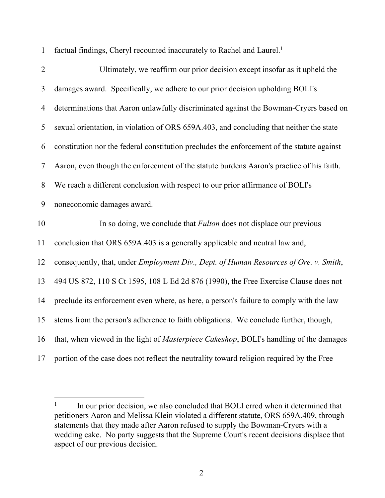1 factual findings, Cheryl recounted inaccurately to Rachel and Laurel.<sup>1</sup>

| $\overline{2}$ | Ultimately, we reaffirm our prior decision except insofar as it upheld the                 |
|----------------|--------------------------------------------------------------------------------------------|
| 3              | damages award. Specifically, we adhere to our prior decision upholding BOLI's              |
| 4              | determinations that Aaron unlawfully discriminated against the Bowman-Cryers based on      |
| 5              | sexual orientation, in violation of ORS 659A.403, and concluding that neither the state    |
| 6              | constitution nor the federal constitution precludes the enforcement of the statute against |
| 7              | Aaron, even though the enforcement of the statute burdens Aaron's practice of his faith.   |
| $8\,$          | We reach a different conclusion with respect to our prior affirmance of BOLI's             |
| 9              | noneconomic damages award.                                                                 |
| 10             | In so doing, we conclude that <i>Fulton</i> does not displace our previous                 |
|                |                                                                                            |
| 11             | conclusion that ORS 659A.403 is a generally applicable and neutral law and,                |
| 12             | consequently, that, under Employment Div., Dept. of Human Resources of Ore. v. Smith,      |
| 13             | 494 US 872, 110 S Ct 1595, 108 L Ed 2d 876 (1990), the Free Exercise Clause does not       |
| 14             | preclude its enforcement even where, as here, a person's failure to comply with the law    |
| 15             | stems from the person's adherence to faith obligations. We conclude further, though,       |
| 16             | that, when viewed in the light of Masterpiece Cakeshop, BOLI's handling of the damages     |

<sup>1</sup> In our prior decision, we also concluded that BOLI erred when it determined that petitioners Aaron and Melissa Klein violated a different statute, ORS 659A.409, through statements that they made after Aaron refused to supply the Bowman-Cryers with a wedding cake. No party suggests that the Supreme Court's recent decisions displace that aspect of our previous decision.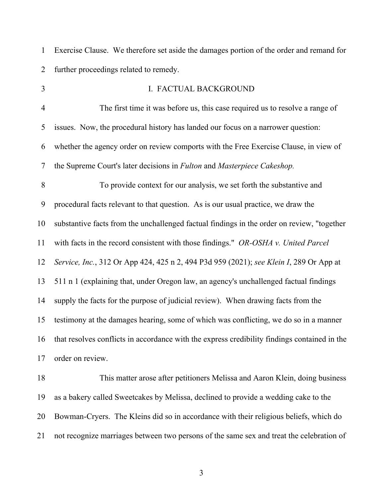1 Exercise Clause. We therefore set aside the damages portion of the order and remand for 2 further proceedings related to remedy.

| $\overline{3}$ | I. FACTUAL BACKGROUND                                                                        |
|----------------|----------------------------------------------------------------------------------------------|
| $\overline{4}$ | The first time it was before us, this case required us to resolve a range of                 |
| 5              | issues. Now, the procedural history has landed our focus on a narrower question:             |
| 6              | whether the agency order on review comports with the Free Exercise Clause, in view of        |
| 7              | the Supreme Court's later decisions in Fulton and Masterpiece Cakeshop.                      |
| 8              | To provide context for our analysis, we set forth the substantive and                        |
| 9              | procedural facts relevant to that question. As is our usual practice, we draw the            |
| 10             | substantive facts from the unchallenged factual findings in the order on review, "together   |
| 11             | with facts in the record consistent with those findings." OR-OSHA v. United Parcel           |
| 12             | Service, Inc., 312 Or App 424, 425 n 2, 494 P3d 959 (2021); see Klein I, 289 Or App at       |
| 13             | 511 n 1 (explaining that, under Oregon law, an agency's unchallenged factual findings        |
| 14             | supply the facts for the purpose of judicial review). When drawing facts from the            |
| 15             | testimony at the damages hearing, some of which was conflicting, we do so in a manner        |
| 16             | that resolves conflicts in accordance with the express credibility findings contained in the |
| 17             | order on review.                                                                             |
| 18             | This matter arose after petitioners Melissa and Aaron Klein, doing business                  |

19 as a bakery called Sweetcakes by Melissa, declined to provide a wedding cake to the 20 Bowman-Cryers. The Kleins did so in accordance with their religious beliefs, which do 21 not recognize marriages between two persons of the same sex and treat the celebration of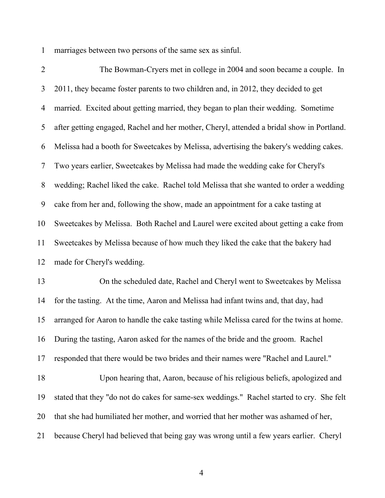1 marriages between two persons of the same sex as sinful.

2 The Bowman-Cryers met in college in 2004 and soon became a couple. In 3 2011, they became foster parents to two children and, in 2012, they decided to get 4 married. Excited about getting married, they began to plan their wedding. Sometime 5 after getting engaged, Rachel and her mother, Cheryl, attended a bridal show in Portland. 6 Melissa had a booth for Sweetcakes by Melissa, advertising the bakery's wedding cakes. 7 Two years earlier, Sweetcakes by Melissa had made the wedding cake for Cheryl's 8 wedding; Rachel liked the cake. Rachel told Melissa that she wanted to order a wedding 9 cake from her and, following the show, made an appointment for a cake tasting at 10 Sweetcakes by Melissa. Both Rachel and Laurel were excited about getting a cake from 11 Sweetcakes by Melissa because of how much they liked the cake that the bakery had 12 made for Cheryl's wedding.

13 On the scheduled date, Rachel and Cheryl went to Sweetcakes by Melissa 14 for the tasting. At the time, Aaron and Melissa had infant twins and, that day, had 15 arranged for Aaron to handle the cake tasting while Melissa cared for the twins at home. 16 During the tasting, Aaron asked for the names of the bride and the groom. Rachel 17 responded that there would be two brides and their names were "Rachel and Laurel." 18 Upon hearing that, Aaron, because of his religious beliefs, apologized and 19 stated that they "do not do cakes for same-sex weddings." Rachel started to cry. She felt 20 that she had humiliated her mother, and worried that her mother was ashamed of her, 21 because Cheryl had believed that being gay was wrong until a few years earlier. Cheryl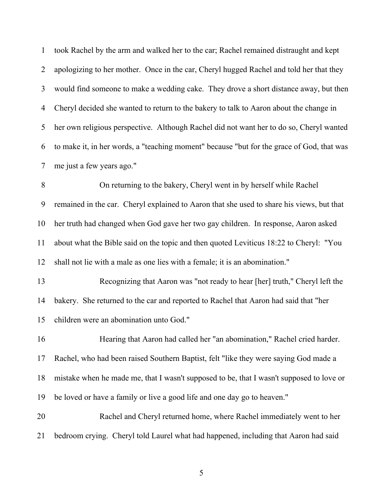1 took Rachel by the arm and walked her to the car; Rachel remained distraught and kept 2 apologizing to her mother. Once in the car, Cheryl hugged Rachel and told her that they 3 would find someone to make a wedding cake. They drove a short distance away, but then 4 Cheryl decided she wanted to return to the bakery to talk to Aaron about the change in 5 her own religious perspective. Although Rachel did not want her to do so, Cheryl wanted 6 to make it, in her words, a "teaching moment" because "but for the grace of God, that was 7 me just a few years ago."

8 On returning to the bakery, Cheryl went in by herself while Rachel 9 remained in the car. Cheryl explained to Aaron that she used to share his views, but that 10 her truth had changed when God gave her two gay children. In response, Aaron asked 11 about what the Bible said on the topic and then quoted Leviticus 18:22 to Cheryl: "You 12 shall not lie with a male as one lies with a female; it is an abomination."

13 Recognizing that Aaron was "not ready to hear [her] truth," Cheryl left the 14 bakery. She returned to the car and reported to Rachel that Aaron had said that "her 15 children were an abomination unto God."

16 Hearing that Aaron had called her "an abomination," Rachel cried harder. 17 Rachel, who had been raised Southern Baptist, felt "like they were saying God made a 18 mistake when he made me, that I wasn't supposed to be, that I wasn't supposed to love or 19 be loved or have a family or live a good life and one day go to heaven."

20 Rachel and Cheryl returned home, where Rachel immediately went to her 21 bedroom crying. Cheryl told Laurel what had happened, including that Aaron had said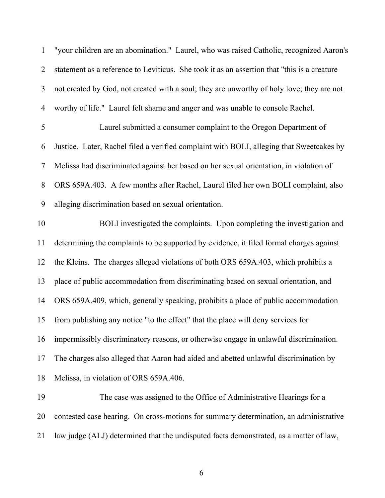| $\mathbf{1}$   | "your children are an abomination." Laurel, who was raised Catholic, recognized Aaron's     |
|----------------|---------------------------------------------------------------------------------------------|
| $\overline{2}$ | statement as a reference to Leviticus. She took it as an assertion that "this is a creature |
| 3              | not created by God, not created with a soul; they are unworthy of holy love; they are not   |
| $\overline{4}$ | worthy of life." Laurel felt shame and anger and was unable to console Rachel.              |
| 5              | Laurel submitted a consumer complaint to the Oregon Department of                           |
| 6              | Justice. Later, Rachel filed a verified complaint with BOLI, alleging that Sweetcakes by    |
| 7              | Melissa had discriminated against her based on her sexual orientation, in violation of      |
| $8\,$          | ORS 659A.403. A few months after Rachel, Laurel filed her own BOLI complaint, also          |
| 9              | alleging discrimination based on sexual orientation.                                        |
| 10             | BOLI investigated the complaints. Upon completing the investigation and                     |
| 11             | determining the complaints to be supported by evidence, it filed formal charges against     |
| 12             | the Kleins. The charges alleged violations of both ORS 659A.403, which prohibits a          |
| 13             | place of public accommodation from discriminating based on sexual orientation, and          |
| 14             | ORS 659A.409, which, generally speaking, prohibits a place of public accommodation          |
| 15             | from publishing any notice "to the effect" that the place will deny services for            |
| 16             | impermissibly discriminatory reasons, or otherwise engage in unlawful discrimination.       |
| 17             | The charges also alleged that Aaron had aided and abetted unlawful discrimination by        |
| 18             | Melissa, in violation of ORS 659A.406.                                                      |
| 19             | The case was assigned to the Office of Administrative Hearings for a                        |
| 20             | contested case hearing. On cross-motions for summary determination, an administrative       |
|                |                                                                                             |

21 law judge (ALJ) determined that the undisputed facts demonstrated, as a matter of law,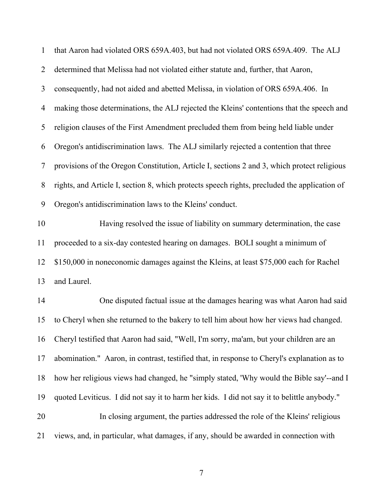| $\mathbf{1}$   | that Aaron had violated ORS 659A.403, but had not violated ORS 659A.409. The ALJ             |
|----------------|----------------------------------------------------------------------------------------------|
| $\overline{2}$ | determined that Melissa had not violated either statute and, further, that Aaron,            |
| 3              | consequently, had not aided and abetted Melissa, in violation of ORS 659A.406. In            |
| 4              | making those determinations, the ALJ rejected the Kleins' contentions that the speech and    |
| 5              | religion clauses of the First Amendment precluded them from being held liable under          |
| 6              | Oregon's antidiscrimination laws. The ALJ similarly rejected a contention that three         |
| 7              | provisions of the Oregon Constitution, Article I, sections 2 and 3, which protect religious  |
| 8              | rights, and Article I, section 8, which protects speech rights, precluded the application of |
| 9              | Oregon's antidiscrimination laws to the Kleins' conduct.                                     |
| 10             | Having resolved the issue of liability on summary determination, the case                    |
| 11             | proceeded to a six-day contested hearing on damages. BOLI sought a minimum of                |
| 12             | \$150,000 in noneconomic damages against the Kleins, at least \$75,000 each for Rachel       |
| 13             | and Laurel.                                                                                  |
| 14             | One disputed factual issue at the damages hearing was what Aaron had said                    |
| 15             | to Cheryl when she returned to the bakery to tell him about how her views had changed.       |
| 16             | Cheryl testified that Aaron had said, "Well, I'm sorry, ma'am, but your children are an      |
| 17             | abomination." Aaron, in contrast, testified that, in response to Cheryl's explanation as to  |
| 18             | how her religious views had changed, he "simply stated, 'Why would the Bible say'--and I     |
| 19             | quoted Leviticus. I did not say it to harm her kids. I did not say it to belittle anybody."  |
| 20             | In closing argument, the parties addressed the role of the Kleins' religious                 |
| 21             | views, and, in particular, what damages, if any, should be awarded in connection with        |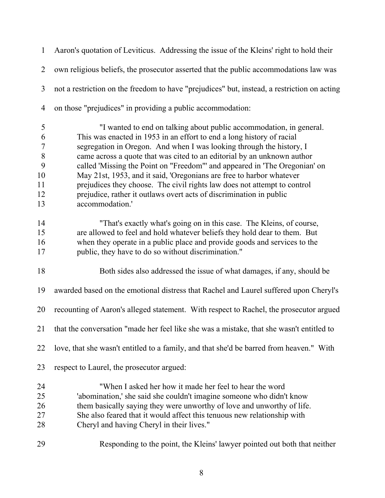1 Aaron's quotation of Leviticus. Addressing the issue of the Kleins' right to hold their 2 own religious beliefs, the prosecutor asserted that the public accommodations law was 3 not a restriction on the freedom to have "prejudices" but, instead, a restriction on acting 4 on those "prejudices" in providing a public accommodation:

5 "I wanted to end on talking about public accommodation, in general. 6 This was enacted in 1953 in an effort to end a long history of racial 7 segregation in Oregon. And when I was looking through the history, I 8 came across a quote that was cited to an editorial by an unknown author 9 called 'Missing the Point on "Freedom"' and appeared in 'The Oregonian' on 10 May 21st, 1953, and it said, 'Oregonians are free to harbor whatever 11 prejudices they choose. The civil rights law does not attempt to control 12 prejudice, rather it outlaws overt acts of discrimination in public 13 accommodation.'

14 "That's exactly what's going on in this case. The Kleins, of course, 15 are allowed to feel and hold whatever beliefs they hold dear to them. But 16 when they operate in a public place and provide goods and services to the 17 public, they have to do so without discrimination."

18 Both sides also addressed the issue of what damages, if any, should be

19 awarded based on the emotional distress that Rachel and Laurel suffered upon Cheryl's

20 recounting of Aaron's alleged statement. With respect to Rachel, the prosecutor argued

21 that the conversation "made her feel like she was a mistake, that she wasn't entitled to

22 love, that she wasn't entitled to a family, and that she'd be barred from heaven." With

- 23 respect to Laurel, the prosecutor argued:
- 24 "When I asked her how it made her feel to hear the word 25 'abomination,' she said she couldn't imagine someone who didn't know 26 them basically saying they were unworthy of love and unworthy of life. 27 She also feared that it would affect this tenuous new relationship with 28 Cheryl and having Cheryl in their lives."
- 29 Responding to the point, the Kleins' lawyer pointed out both that neither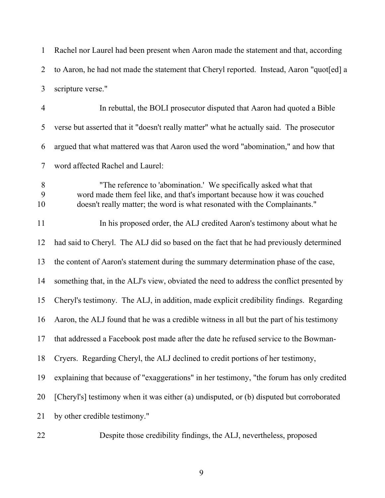1 Rachel nor Laurel had been present when Aaron made the statement and that, according 2 to Aaron, he had not made the statement that Cheryl reported. Instead, Aaron "quot[ed] a 3 scripture verse." 4 In rebuttal, the BOLI prosecutor disputed that Aaron had quoted a Bible 5 verse but asserted that it "doesn't really matter" what he actually said. The prosecutor 6 argued that what mattered was that Aaron used the word "abomination," and how that 7 word affected Rachel and Laurel: 8 "The reference to 'abomination.' We specifically asked what that 9 word made them feel like, and that's important because how it was couched 10 doesn't really matter; the word is what resonated with the Complainants." 11 In his proposed order, the ALJ credited Aaron's testimony about what he 12 had said to Cheryl. The ALJ did so based on the fact that he had previously determined 13 the content of Aaron's statement during the summary determination phase of the case, 14 something that, in the ALJ's view, obviated the need to address the conflict presented by 15 Cheryl's testimony. The ALJ, in addition, made explicit credibility findings. Regarding 16 Aaron, the ALJ found that he was a credible witness in all but the part of his testimony 17 that addressed a Facebook post made after the date he refused service to the Bowman-18 Cryers. Regarding Cheryl, the ALJ declined to credit portions of her testimony, 19 explaining that because of "exaggerations" in her testimony, "the forum has only credited 20 [Cheryl's] testimony when it was either (a) undisputed, or (b) disputed but corroborated 21 by other credible testimony."

22 Despite those credibility findings, the ALJ, nevertheless, proposed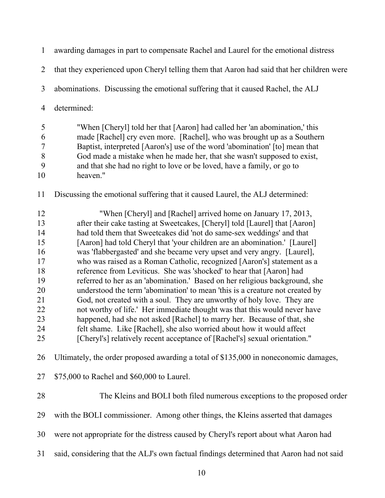| $\mathbf{1}$                                                                     | awarding damages in part to compensate Rachel and Laurel for the emotional distress                                                                                                                                                                                                                                                                                                                                                                                                                                                                                                                                                                                                                                                                                                                                                                                                                                                                                                                                                                                                      |
|----------------------------------------------------------------------------------|------------------------------------------------------------------------------------------------------------------------------------------------------------------------------------------------------------------------------------------------------------------------------------------------------------------------------------------------------------------------------------------------------------------------------------------------------------------------------------------------------------------------------------------------------------------------------------------------------------------------------------------------------------------------------------------------------------------------------------------------------------------------------------------------------------------------------------------------------------------------------------------------------------------------------------------------------------------------------------------------------------------------------------------------------------------------------------------|
| 2                                                                                | that they experienced upon Cheryl telling them that Aaron had said that her children were                                                                                                                                                                                                                                                                                                                                                                                                                                                                                                                                                                                                                                                                                                                                                                                                                                                                                                                                                                                                |
| 3                                                                                | abominations. Discussing the emotional suffering that it caused Rachel, the ALJ                                                                                                                                                                                                                                                                                                                                                                                                                                                                                                                                                                                                                                                                                                                                                                                                                                                                                                                                                                                                          |
| $\overline{4}$                                                                   | determined:                                                                                                                                                                                                                                                                                                                                                                                                                                                                                                                                                                                                                                                                                                                                                                                                                                                                                                                                                                                                                                                                              |
| 5<br>6<br>$\boldsymbol{7}$<br>$8\,$<br>9<br>10                                   | "When [Cheryl] told her that [Aaron] had called her 'an abomination,' this<br>made [Rachel] cry even more. [Rachel], who was brought up as a Southern<br>Baptist, interpreted [Aaron's] use of the word 'abomination' [to] mean that<br>God made a mistake when he made her, that she wasn't supposed to exist,<br>and that she had no right to love or be loved, have a family, or go to<br>heaven."                                                                                                                                                                                                                                                                                                                                                                                                                                                                                                                                                                                                                                                                                    |
| 11                                                                               | Discussing the emotional suffering that it caused Laurel, the ALJ determined:                                                                                                                                                                                                                                                                                                                                                                                                                                                                                                                                                                                                                                                                                                                                                                                                                                                                                                                                                                                                            |
| 12<br>13<br>14<br>15<br>16<br>17<br>18<br>19<br>20<br>21<br>22<br>23<br>24<br>25 | "When [Cheryl] and [Rachel] arrived home on January 17, 2013,<br>after their cake tasting at Sweetcakes, [Cheryl] told [Laurel] that [Aaron]<br>had told them that Sweetcakes did 'not do same-sex weddings' and that<br>[Aaron] had told Cheryl that 'your children are an abomination.' [Laurel]<br>was 'flabbergasted' and she became very upset and very angry. [Laurel],<br>who was raised as a Roman Catholic, recognized [Aaron's] statement as a<br>reference from Leviticus. She was 'shocked' to hear that [Aaron] had<br>referred to her as an 'abomination.' Based on her religious background, she<br>understood the term 'abomination' to mean 'this is a creature not created by<br>God, not created with a soul. They are unworthy of holy love. They are<br>not worthy of life.' Her immediate thought was that this would never have<br>happened, had she not asked [Rachel] to marry her. Because of that, she<br>felt shame. Like [Rachel], she also worried about how it would affect<br>[Cheryl's] relatively recent acceptance of [Rachel's] sexual orientation." |
| 26                                                                               | Ultimately, the order proposed awarding a total of \$135,000 in noneconomic damages,                                                                                                                                                                                                                                                                                                                                                                                                                                                                                                                                                                                                                                                                                                                                                                                                                                                                                                                                                                                                     |
| 27                                                                               | \$75,000 to Rachel and \$60,000 to Laurel.                                                                                                                                                                                                                                                                                                                                                                                                                                                                                                                                                                                                                                                                                                                                                                                                                                                                                                                                                                                                                                               |
| 28                                                                               | The Kleins and BOLI both filed numerous exceptions to the proposed order                                                                                                                                                                                                                                                                                                                                                                                                                                                                                                                                                                                                                                                                                                                                                                                                                                                                                                                                                                                                                 |
| 29                                                                               | with the BOLI commissioner. Among other things, the Kleins asserted that damages                                                                                                                                                                                                                                                                                                                                                                                                                                                                                                                                                                                                                                                                                                                                                                                                                                                                                                                                                                                                         |
| 30                                                                               | were not appropriate for the distress caused by Cheryl's report about what Aaron had                                                                                                                                                                                                                                                                                                                                                                                                                                                                                                                                                                                                                                                                                                                                                                                                                                                                                                                                                                                                     |
| 31                                                                               | said, considering that the ALJ's own factual findings determined that Aaron had not said                                                                                                                                                                                                                                                                                                                                                                                                                                                                                                                                                                                                                                                                                                                                                                                                                                                                                                                                                                                                 |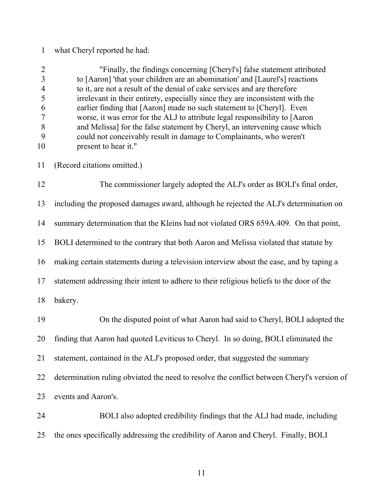# 1 what Cheryl reported he had:

|    | "Finally, the findings concerning [Cheryl's] false statement attributed       |
|----|-------------------------------------------------------------------------------|
|    | to [Aaron] 'that your children are an abomination' and [Laurel's] reactions   |
|    | to it, are not a result of the denial of cake services and are therefore      |
|    | irrelevant in their entirety, especially since they are inconsistent with the |
|    | earlier finding that [Aaron] made no such statement to [Cheryl]. Even         |
|    | worse, it was error for the ALJ to attribute legal responsibility to [Aaron   |
|    | and Melissa] for the false statement by Cheryl, an intervening cause which    |
|    | could not conceivably result in damage to Complainants, who weren't           |
| 10 | present to hear it."                                                          |
|    |                                                                               |

11 (Record citations omitted.)

12 The commissioner largely adopted the ALJ's order as BOLI's final order, 13 including the proposed damages award, although he rejected the ALJ's determination on 14 summary determination that the Kleins had not violated ORS 659A.409. On that point, 15 BOLI determined to the contrary that both Aaron and Melissa violated that statute by 16 making certain statements during a television interview about the case, and by taping a 17 statement addressing their intent to adhere to their religious beliefs to the door of the 18 bakery. 19 On the disputed point of what Aaron had said to Cheryl, BOLI adopted the 20 finding that Aaron had quoted Leviticus to Cheryl. In so doing, BOLI eliminated the

21 statement, contained in the ALJ's proposed order, that suggested the summary

22 determination ruling obviated the need to resolve the conflict between Cheryl's version of

23 events and Aaron's.

24 BOLI also adopted credibility findings that the ALJ had made, including 25 the ones specifically addressing the credibility of Aaron and Cheryl. Finally, BOLI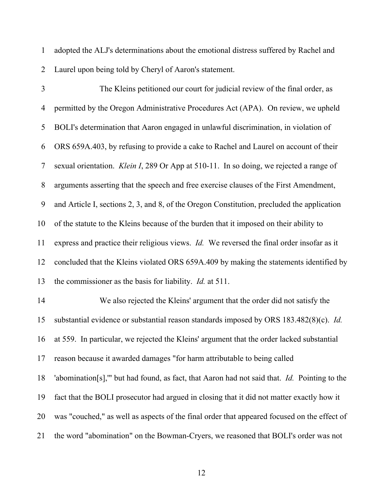1 adopted the ALJ's determinations about the emotional distress suffered by Rachel and 2 Laurel upon being told by Cheryl of Aaron's statement.

3 The Kleins petitioned our court for judicial review of the final order, as 4 permitted by the Oregon Administrative Procedures Act (APA). On review, we upheld 5 BOLI's determination that Aaron engaged in unlawful discrimination, in violation of 6 ORS 659A.403, by refusing to provide a cake to Rachel and Laurel on account of their 7 sexual orientation. *Klein I*, 289 Or App at 510-11. In so doing, we rejected a range of 8 arguments asserting that the speech and free exercise clauses of the First Amendment, 9 and Article I, sections 2, 3, and 8, of the Oregon Constitution, precluded the application 10 of the statute to the Kleins because of the burden that it imposed on their ability to 11 express and practice their religious views. *Id.* We reversed the final order insofar as it 12 concluded that the Kleins violated ORS 659A.409 by making the statements identified by 13 the commissioner as the basis for liability. *Id.* at 511. 14 We also rejected the Kleins' argument that the order did not satisfy the 15 substantial evidence or substantial reason standards imposed by ORS 183.482(8)(c). *Id.* 16 at 559. In particular, we rejected the Kleins' argument that the order lacked substantial 17 reason because it awarded damages "for harm attributable to being called 18 'abomination[s],'" but had found, as fact, that Aaron had not said that. *Id.* Pointing to the 19 fact that the BOLI prosecutor had argued in closing that it did not matter exactly how it 20 was "couched," as well as aspects of the final order that appeared focused on the effect of 21 the word "abomination" on the Bowman-Cryers, we reasoned that BOLI's order was not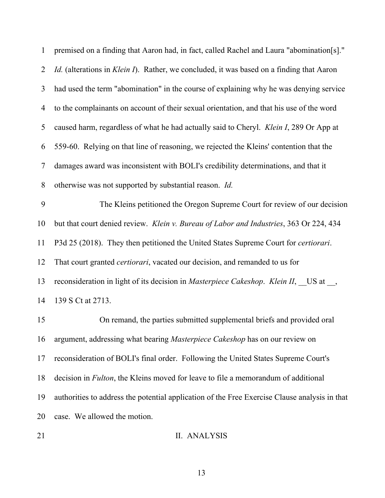| $\mathbf{1}$   | premised on a finding that Aaron had, in fact, called Rachel and Laura "abomination[s]."      |
|----------------|-----------------------------------------------------------------------------------------------|
| $\overline{2}$ | Id. (alterations in Klein I). Rather, we concluded, it was based on a finding that Aaron      |
| 3              | had used the term "abomination" in the course of explaining why he was denying service        |
| 4              | to the complainants on account of their sexual orientation, and that his use of the word      |
| 5              | caused harm, regardless of what he had actually said to Cheryl. Klein I, 289 Or App at        |
| 6              | 559-60. Relying on that line of reasoning, we rejected the Kleins' contention that the        |
| 7              | damages award was inconsistent with BOLI's credibility determinations, and that it            |
| 8              | otherwise was not supported by substantial reason. Id.                                        |
| 9              | The Kleins petitioned the Oregon Supreme Court for review of our decision                     |
| 10             | but that court denied review. Klein v. Bureau of Labor and Industries, 363 Or 224, 434        |
| 11             | P3d 25 (2018). They then petitioned the United States Supreme Court for <i>certiorari</i> .   |
| 12             | That court granted <i>certiorari</i> , vacated our decision, and remanded to us for           |
| 13             | reconsideration in light of its decision in Masterpiece Cakeshop. Klein II, US at _,          |
| 14             | 139 S Ct at 2713.                                                                             |
| 15             | On remand, the parties submitted supplemental briefs and provided oral                        |
| 16             | argument, addressing what bearing Masterpiece Cakeshop has on our review on                   |
| 17             | reconsideration of BOLI's final order. Following the United States Supreme Court's            |
| 18             | decision in <i>Fulton</i> , the Kleins moved for leave to file a memorandum of additional     |
| 19             | authorities to address the potential application of the Free Exercise Clause analysis in that |
| 20             | case. We allowed the motion.                                                                  |
|                |                                                                                               |

21 II. ANALYSIS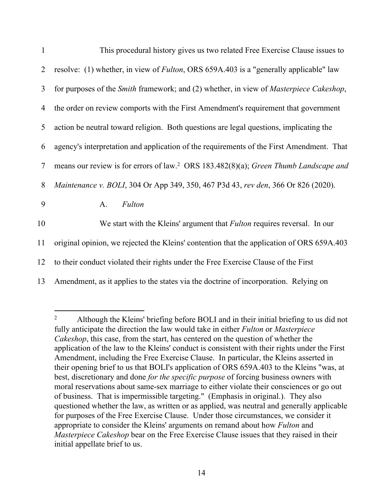| $\mathbf{1}$ | This procedural history gives us two related Free Exercise Clause issues to                           |
|--------------|-------------------------------------------------------------------------------------------------------|
| 2            | resolve: (1) whether, in view of <i>Fulton</i> , ORS 659A.403 is a "generally applicable" law         |
| 3            | for purposes of the <i>Smith</i> framework; and (2) whether, in view of <i>Masterpiece Cakeshop</i> , |
| 4            | the order on review comports with the First Amendment's requirement that government                   |
| 5            | action be neutral toward religion. Both questions are legal questions, implicating the                |
| 6            | agency's interpretation and application of the requirements of the First Amendment. That              |
| 7            | means our review is for errors of law. <sup>2</sup> ORS 183.482(8)(a); Green Thumb Landscape and      |
| 8            | Maintenance v. BOLI, 304 Or App 349, 350, 467 P3d 43, rev den, 366 Or 826 (2020).                     |
| 9            | Fulton<br>A.                                                                                          |
| 10           | We start with the Kleins' argument that <i>Fulton</i> requires reversal. In our                       |
| 11           | original opinion, we rejected the Kleins' contention that the application of ORS 659A.403             |
| 12           | to their conduct violated their rights under the Free Exercise Clause of the First                    |
| 13           | Amendment, as it applies to the states via the doctrine of incorporation. Relying on                  |

<sup>&</sup>lt;sup>2</sup> Although the Kleins' briefing before BOLI and in their initial briefing to us did not fully anticipate the direction the law would take in either *Fulton* or *Masterpiece Cakeshop*, this case, from the start, has centered on the question of whether the application of the law to the Kleins' conduct is consistent with their rights under the First Amendment, including the Free Exercise Clause. In particular, the Kleins asserted in their opening brief to us that BOLI's application of ORS 659A.403 to the Kleins "was, at best, discretionary and done *for the specific purpose* of forcing business owners with moral reservations about same-sex marriage to either violate their consciences or go out of business. That is impermissible targeting." (Emphasis in original.). They also questioned whether the law, as written or as applied, was neutral and generally applicable for purposes of the Free Exercise Clause. Under those circumstances, we consider it appropriate to consider the Kleins' arguments on remand about how *Fulton* and *Masterpiece Cakeshop* bear on the Free Exercise Clause issues that they raised in their initial appellate brief to us.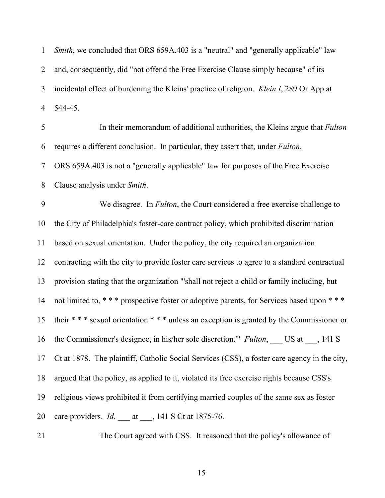1 *Smith*, we concluded that ORS 659A.403 is a "neutral" and "generally applicable" law 2 and, consequently, did "not offend the Free Exercise Clause simply because" of its 3 incidental effect of burdening the Kleins' practice of religion. *Klein I*, 289 Or App at 4 544-45. 5 In their memorandum of additional authorities, the Kleins argue that *Fulton* 6 requires a different conclusion. In particular, they assert that, under *Fulton*, 7 ORS 659A.403 is not a "generally applicable" law for purposes of the Free Exercise 8 Clause analysis under *Smith*. 9 We disagree. In *Fulton*, the Court considered a free exercise challenge to 10 the City of Philadelphia's foster-care contract policy, which prohibited discrimination 11 based on sexual orientation. Under the policy, the city required an organization 12 contracting with the city to provide foster care services to agree to a standard contractual 13 provision stating that the organization "'shall not reject a child or family including, but 14 not limited to, \* \* \* prospective foster or adoptive parents, for Services based upon \* \* \* 15 their \* \* \* sexual orientation \* \* \* unless an exception is granted by the Commissioner or 16 the Commissioner's designee, in his/her sole discretion." *Fulton*, US at , 141 S 17 Ct at 1878. The plaintiff, Catholic Social Services (CSS), a foster care agency in the city, 18 argued that the policy, as applied to it, violated its free exercise rights because CSS's 19 religious views prohibited it from certifying married couples of the same sex as foster 20 care providers. *Id.* at , 141 S Ct at 1875-76.

21 The Court agreed with CSS. It reasoned that the policy's allowance of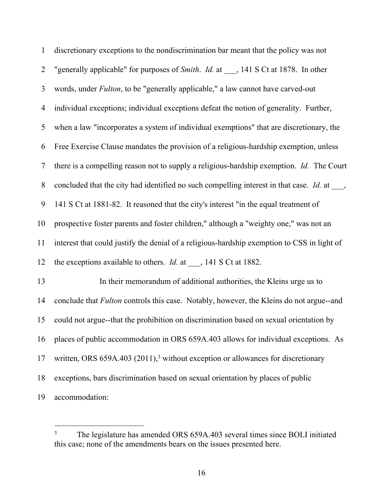| $\mathbf{1}$   | discretionary exceptions to the nondiscrimination bar meant that the policy was not                       |
|----------------|-----------------------------------------------------------------------------------------------------------|
| $\overline{2}$ | "generally applicable" for purposes of Smith. Id. at , 141 S Ct at 1878. In other                         |
| 3              | words, under Fulton, to be "generally applicable," a law cannot have carved-out                           |
| 4              | individual exceptions; individual exceptions defeat the notion of generality. Further,                    |
| 5              | when a law "incorporates a system of individual exemptions" that are discretionary, the                   |
| 6              | Free Exercise Clause mandates the provision of a religious-hardship exemption, unless                     |
| 7              | there is a compelling reason not to supply a religious-hardship exemption. Id. The Court                  |
| $8\,$          | concluded that the city had identified no such compelling interest in that case. <i>Id.</i> at $\_\_\_\_$ |
| 9              | 141 S Ct at 1881-82. It reasoned that the city's interest "in the equal treatment of                      |
| 10             | prospective foster parents and foster children," although a "weighty one," was not an                     |
| 11             | interest that could justify the denial of a religious-hardship exemption to CSS in light of               |
| 12             | the exceptions available to others. <i>Id.</i> at $\_\_$ , 141 S Ct at 1882.                              |
| 13             | In their memorandum of additional authorities, the Kleins urge us to                                      |
| 14             | conclude that <i>Fulton</i> controls this case. Notably, however, the Kleins do not argue--and            |
| 15             | could not argue--that the prohibition on discrimination based on sexual orientation by                    |
| 16             | places of public accommodation in ORS 659A.403 allows for individual exceptions. As                       |
| 17             | written, ORS 659A.403 (2011), $3$ without exception or allowances for discretionary                       |
| 18             | exceptions, bars discrimination based on sexual orientation by places of public                           |
| 19             | accommodation:                                                                                            |

<sup>3</sup> The legislature has amended ORS 659A.403 several times since BOLI initiated this case; none of the amendments bears on the issues presented here.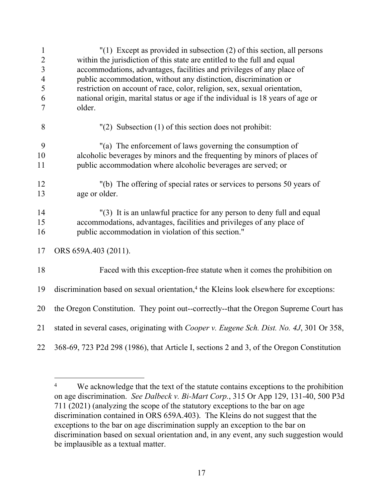| $\mathbf{1}$<br>$\overline{2}$<br>$\overline{3}$<br>$\overline{4}$<br>5<br>6<br>7 | $''(1)$ Except as provided in subsection (2) of this section, all persons<br>within the jurisdiction of this state are entitled to the full and equal<br>accommodations, advantages, facilities and privileges of any place of<br>public accommodation, without any distinction, discrimination or<br>restriction on account of race, color, religion, sex, sexual orientation,<br>national origin, marital status or age if the individual is 18 years of age or<br>older. |
|-----------------------------------------------------------------------------------|-----------------------------------------------------------------------------------------------------------------------------------------------------------------------------------------------------------------------------------------------------------------------------------------------------------------------------------------------------------------------------------------------------------------------------------------------------------------------------|
| 8                                                                                 | $''(2)$ Subsection (1) of this section does not prohibit:                                                                                                                                                                                                                                                                                                                                                                                                                   |
| 9<br>10<br>11                                                                     | "(a) The enforcement of laws governing the consumption of<br>alcoholic beverages by minors and the frequenting by minors of places of<br>public accommodation where alcoholic beverages are served; or                                                                                                                                                                                                                                                                      |
| 12<br>13                                                                          | "(b) The offering of special rates or services to persons 50 years of<br>age or older.                                                                                                                                                                                                                                                                                                                                                                                      |
| 14<br>15<br>16                                                                    | "(3) It is an unlawful practice for any person to deny full and equal<br>accommodations, advantages, facilities and privileges of any place of<br>public accommodation in violation of this section."                                                                                                                                                                                                                                                                       |
| 17                                                                                | ORS 659A.403 (2011).                                                                                                                                                                                                                                                                                                                                                                                                                                                        |
| 18                                                                                | Faced with this exception-free statute when it comes the prohibition on                                                                                                                                                                                                                                                                                                                                                                                                     |
| 19                                                                                | discrimination based on sexual orientation, <sup>4</sup> the Kleins look elsewhere for exceptions:                                                                                                                                                                                                                                                                                                                                                                          |
| 20                                                                                | the Oregon Constitution. They point out--correctly--that the Oregon Supreme Court has                                                                                                                                                                                                                                                                                                                                                                                       |
| 21                                                                                | stated in several cases, originating with Cooper v. Eugene Sch. Dist. No. 4J, 301 Or 358,                                                                                                                                                                                                                                                                                                                                                                                   |
| 22                                                                                | 368-69, 723 P2d 298 (1986), that Article I, sections 2 and 3, of the Oregon Constitution                                                                                                                                                                                                                                                                                                                                                                                    |

<sup>4</sup> We acknowledge that the text of the statute contains exceptions to the prohibition on age discrimination. *See Dalbeck v. Bi-Mart Corp.*, 315 Or App 129, 131-40, 500 P3d 711 (2021) (analyzing the scope of the statutory exceptions to the bar on age discrimination contained in ORS 659A.403). The Kleins do not suggest that the exceptions to the bar on age discrimination supply an exception to the bar on discrimination based on sexual orientation and, in any event, any such suggestion would be implausible as a textual matter.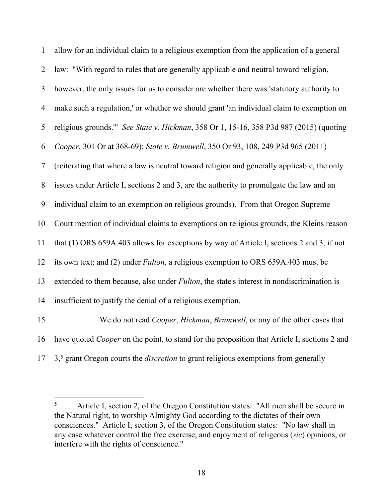| $\mathbf{1}$   | allow for an individual claim to a religious exemption from the application of a general               |
|----------------|--------------------------------------------------------------------------------------------------------|
| $\overline{2}$ | law: "With regard to rules that are generally applicable and neutral toward religion,                  |
| 3              | however, the only issues for us to consider are whether there was 'statutory authority to              |
| $\overline{4}$ | make such a regulation,' or whether we should grant 'an individual claim to exemption on               |
| 5              | religious grounds."" See State v. Hickman, 358 Or 1, 15-16, 358 P3d 987 (2015) (quoting                |
| 6              | Cooper, 301 Or at 368-69); State v. Brumwell, 350 Or 93, 108, 249 P3d 965 (2011)                       |
| 7              | (reiterating that where a law is neutral toward religion and generally applicable, the only            |
| 8              | issues under Article I, sections 2 and 3, are the authority to promulgate the law and an               |
| 9              | individual claim to an exemption on religious grounds). From that Oregon Supreme                       |
| 10             | Court mention of individual claims to exemptions on religious grounds, the Kleins reason               |
| 11             | that $(1)$ ORS 659A.403 allows for exceptions by way of Article I, sections 2 and 3, if not            |
| 12             | its own text; and (2) under <i>Fulton</i> , a religious exemption to ORS 659A.403 must be              |
| 13             | extended to them because, also under <i>Fulton</i> , the state's interest in nondiscrimination is      |
| 14             | insufficient to justify the denial of a religious exemption.                                           |
| 15             | We do not read Cooper, Hickman, Brumwell, or any of the other cases that                               |
| 16             | have quoted <i>Cooper</i> on the point, to stand for the proposition that Article I, sections 2 and    |
| 17             | 3, <sup>5</sup> grant Oregon courts the <i>discretion</i> to grant religious exemptions from generally |

<sup>5</sup> Article I, section 2, of the Oregon Constitution states: "All men shall be secure in the Natural right, to worship Almighty God according to the dictates of their own consciences." Article I, section 3, of the Oregon Constitution states: "No law shall in any case whatever control the free exercise, and enjoyment of religeous (*sic*) opinions, or interfere with the rights of conscience."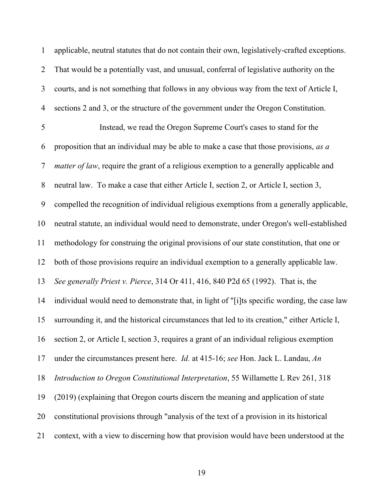1 applicable, neutral statutes that do not contain their own, legislatively-crafted exceptions. 2 That would be a potentially vast, and unusual, conferral of legislative authority on the 3 courts, and is not something that follows in any obvious way from the text of Article I, 4 sections 2 and 3, or the structure of the government under the Oregon Constitution. 5 Instead, we read the Oregon Supreme Court's cases to stand for the 6 proposition that an individual may be able to make a case that those provisions, *as a*  7 *matter of law*, require the grant of a religious exemption to a generally applicable and 8 neutral law. To make a case that either Article I, section 2, or Article I, section 3, 9 compelled the recognition of individual religious exemptions from a generally applicable, 10 neutral statute, an individual would need to demonstrate, under Oregon's well-established 11 methodology for construing the original provisions of our state constitution, that one or 12 both of those provisions require an individual exemption to a generally applicable law. 13 *See generally Priest v. Pierce*, 314 Or 411, 416, 840 P2d 65 (1992). That is, the 14 individual would need to demonstrate that, in light of "[i]ts specific wording, the case law 15 surrounding it, and the historical circumstances that led to its creation," either Article I, 16 section 2, or Article I, section 3, requires a grant of an individual religious exemption 17 under the circumstances present here. *Id.* at 415-16; *see* Hon. Jack L. Landau, *An*  18 *Introduction to Oregon Constitutional Interpretation*, 55 Willamette L Rev 261, 318 19 (2019) (explaining that Oregon courts discern the meaning and application of state 20 constitutional provisions through "analysis of the text of a provision in its historical 21 context, with a view to discerning how that provision would have been understood at the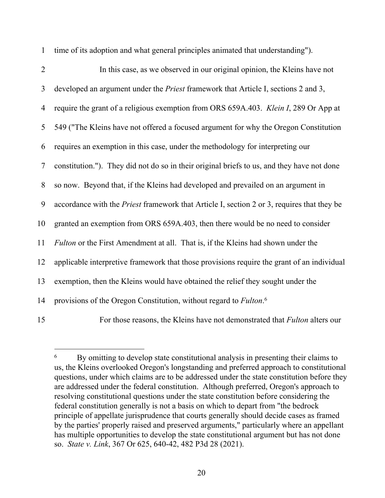| $\overline{2}$ | In this case, as we observed in our original opinion, the Kleins have not                         |
|----------------|---------------------------------------------------------------------------------------------------|
| 3              | developed an argument under the <i>Priest</i> framework that Article I, sections 2 and 3,         |
| $\overline{4}$ | require the grant of a religious exemption from ORS 659A.403. Klein I, 289 Or App at              |
| 5              | 549 ("The Kleins have not offered a focused argument for why the Oregon Constitution              |
| 6              | requires an exemption in this case, under the methodology for interpreting our                    |
| 7              | constitution."). They did not do so in their original briefs to us, and they have not done        |
| 8              | so now. Beyond that, if the Kleins had developed and prevailed on an argument in                  |
| 9              | accordance with the <i>Priest</i> framework that Article I, section 2 or 3, requires that they be |
| 10             | granted an exemption from ORS 659A.403, then there would be no need to consider                   |
| 11             | Fulton or the First Amendment at all. That is, if the Kleins had shown under the                  |
| 12             | applicable interpretive framework that those provisions require the grant of an individual        |
| 13             | exemption, then the Kleins would have obtained the relief they sought under the                   |
| 14             | provisions of the Oregon Constitution, without regard to Fulton. <sup>6</sup>                     |
|                |                                                                                                   |

1 time of its adoption and what general principles animated that understanding").

15 For those reasons, the Kleins have not demonstrated that *Fulton* alters our

<sup>6</sup> By omitting to develop state constitutional analysis in presenting their claims to us, the Kleins overlooked Oregon's longstanding and preferred approach to constitutional questions, under which claims are to be addressed under the state constitution before they are addressed under the federal constitution. Although preferred, Oregon's approach to resolving constitutional questions under the state constitution before considering the federal constitution generally is not a basis on which to depart from "the bedrock principle of appellate jurisprudence that courts generally should decide cases as framed by the parties' properly raised and preserved arguments," particularly where an appellant has multiple opportunities to develop the state constitutional argument but has not done so. *State v. Link*, 367 Or 625, 640-42, 482 P3d 28 (2021).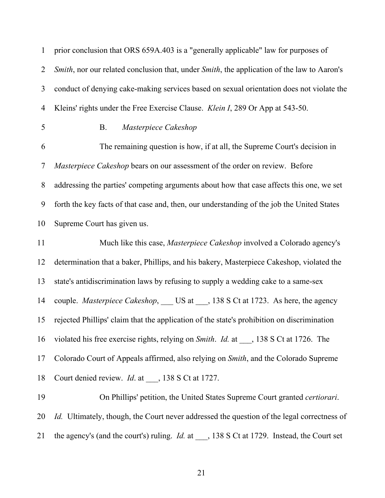| $\mathbf{1}$   | prior conclusion that ORS 659A.403 is a "generally applicable" law for purposes of                |
|----------------|---------------------------------------------------------------------------------------------------|
| $\overline{2}$ | Smith, nor our related conclusion that, under Smith, the application of the law to Aaron's        |
| 3              | conduct of denying cake-making services based on sexual orientation does not violate the          |
| $\overline{4}$ | Kleins' rights under the Free Exercise Clause. Klein I, 289 Or App at 543-50.                     |
| 5              | Masterpiece Cakeshop<br><b>B.</b>                                                                 |
| 6              | The remaining question is how, if at all, the Supreme Court's decision in                         |
| 7              | Masterpiece Cakeshop bears on our assessment of the order on review. Before                       |
| $8\,$          | addressing the parties' competing arguments about how that case affects this one, we set          |
| 9              | forth the key facts of that case and, then, our understanding of the job the United States        |
| 10             | Supreme Court has given us.                                                                       |
| 11             | Much like this case, Masterpiece Cakeshop involved a Colorado agency's                            |
| 12             | determination that a baker, Phillips, and his bakery, Masterpiece Cakeshop, violated the          |
| 13             | state's antidiscrimination laws by refusing to supply a wedding cake to a same-sex                |
| 14             | couple. Masterpiece Cakeshop, ___ US at ___, 138 S Ct at 1723. As here, the agency                |
| 15             | rejected Phillips' claim that the application of the state's prohibition on discrimination        |
| 16             | violated his free exercise rights, relying on Smith. Id. at ___, 138 S Ct at 1726. The            |
| 17             | Colorado Court of Appeals affirmed, also relying on Smith, and the Colorado Supreme               |
| 18             | Court denied review. <i>Id.</i> at ___, 138 S Ct at 1727.                                         |
| 19             | On Phillips' petition, the United States Supreme Court granted certiorari.                        |
| 20             | <i>Id.</i> Ultimately, though, the Court never addressed the question of the legal correctness of |
|                |                                                                                                   |

21 the agency's (and the court's) ruling. *Id.* at \_\_\_, 138 S Ct at 1729. Instead, the Court set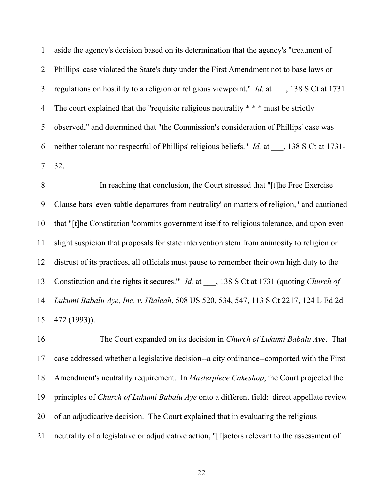1 aside the agency's decision based on its determination that the agency's "treatment of 2 Phillips' case violated the State's duty under the First Amendment not to base laws or 3 regulations on hostility to a religion or religious viewpoint." *Id.* at \_\_\_, 138 S Ct at 1731. 4 The court explained that the "requisite religious neutrality \* \* \* must be strictly 5 observed," and determined that "the Commission's consideration of Phillips' case was 6 neither tolerant nor respectful of Phillips' religious beliefs." *Id.* at \_\_\_, 138 S Ct at 1731- 7 32.

8 In reaching that conclusion, the Court stressed that "[t]he Free Exercise 9 Clause bars 'even subtle departures from neutrality' on matters of religion," and cautioned 10 that "[t]he Constitution 'commits government itself to religious tolerance, and upon even 11 slight suspicion that proposals for state intervention stem from animosity to religion or 12 distrust of its practices, all officials must pause to remember their own high duty to the 13 Constitution and the rights it secures.'" *Id.* at \_\_\_, 138 S Ct at 1731 (quoting *Church of*  14 *Lukumi Babalu Aye, Inc. v. Hialeah*, 508 US 520, 534, 547, 113 S Ct 2217, 124 L Ed 2d 15 472 (1993)).

16 The Court expanded on its decision in *Church of Lukumi Babalu Aye*. That 17 case addressed whether a legislative decision--a city ordinance--comported with the First 18 Amendment's neutrality requirement. In *Masterpiece Cakeshop*, the Court projected the 19 principles of *Church of Lukumi Babalu Aye* onto a different field: direct appellate review 20 of an adjudicative decision. The Court explained that in evaluating the religious 21 neutrality of a legislative or adjudicative action, "[f]actors relevant to the assessment of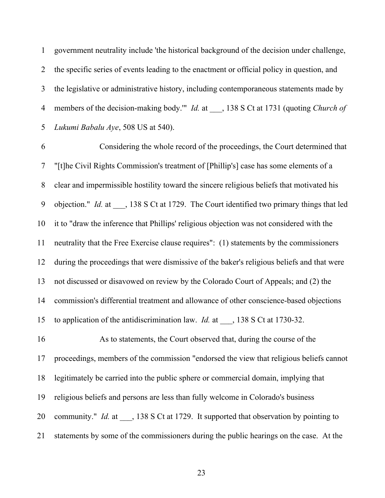1 government neutrality include 'the historical background of the decision under challenge, 2 the specific series of events leading to the enactment or official policy in question, and 3 the legislative or administrative history, including contemporaneous statements made by 4 members of the decision-making body.'" *Id.* at \_\_\_, 138 S Ct at 1731 (quoting *Church of*  5 *Lukumi Babalu Aye*, 508 US at 540).

6 Considering the whole record of the proceedings, the Court determined that 7 "[t]he Civil Rights Commission's treatment of [Phillip's] case has some elements of a 8 clear and impermissible hostility toward the sincere religious beliefs that motivated his 9 objection." *Id.* at \_\_\_, 138 S Ct at 1729. The Court identified two primary things that led 10 it to "draw the inference that Phillips' religious objection was not considered with the 11 neutrality that the Free Exercise clause requires": (1) statements by the commissioners 12 during the proceedings that were dismissive of the baker's religious beliefs and that were 13 not discussed or disavowed on review by the Colorado Court of Appeals; and (2) the 14 commission's differential treatment and allowance of other conscience-based objections 15 to application of the antidiscrimination law. *Id.* at \_\_\_, 138 S Ct at 1730-32. 16 As to statements, the Court observed that, during the course of the 17 proceedings, members of the commission "endorsed the view that religious beliefs cannot 18 legitimately be carried into the public sphere or commercial domain, implying that 19 religious beliefs and persons are less than fully welcome in Colorado's business

20 community." *Id.* at \_\_\_, 138 S Ct at 1729. It supported that observation by pointing to

21 statements by some of the commissioners during the public hearings on the case. At the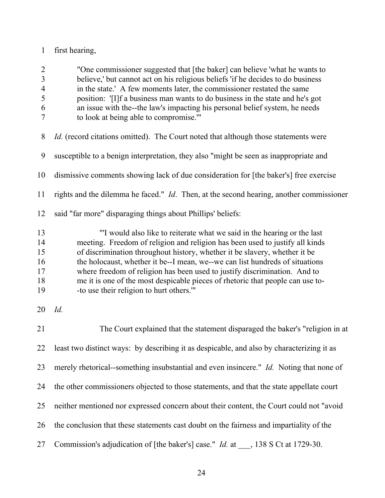# 1 first hearing,

| $\overline{2}$<br>$\overline{3}$<br>$\overline{4}$<br>5 | "One commissioner suggested that [the baker] can believe 'what he wants to<br>believe,' but cannot act on his religious beliefs 'if he decides to do business<br>in the state.' A few moments later, the commissioner restated the same<br>position: '[I]f a business man wants to do business in the state and he's got                                                                                                                                                                                                        |
|---------------------------------------------------------|---------------------------------------------------------------------------------------------------------------------------------------------------------------------------------------------------------------------------------------------------------------------------------------------------------------------------------------------------------------------------------------------------------------------------------------------------------------------------------------------------------------------------------|
| 6<br>7                                                  | an issue with the--the law's impacting his personal belief system, he needs<br>to look at being able to compromise."                                                                                                                                                                                                                                                                                                                                                                                                            |
| 8                                                       | <i>Id.</i> (record citations omitted). The Court noted that although those statements were                                                                                                                                                                                                                                                                                                                                                                                                                                      |
| 9                                                       | susceptible to a benign interpretation, they also "might be seen as inappropriate and                                                                                                                                                                                                                                                                                                                                                                                                                                           |
| 10                                                      | dismissive comments showing lack of due consideration for [the baker's] free exercise                                                                                                                                                                                                                                                                                                                                                                                                                                           |
| 11                                                      | rights and the dilemma he faced." <i>Id</i> . Then, at the second hearing, another commissioner                                                                                                                                                                                                                                                                                                                                                                                                                                 |
| 12                                                      | said "far more" disparaging things about Phillips' beliefs:                                                                                                                                                                                                                                                                                                                                                                                                                                                                     |
| 13<br>14<br>15<br>16<br>17<br>18<br>19                  | "I would also like to reiterate what we said in the hearing or the last<br>meeting. Freedom of religion and religion has been used to justify all kinds<br>of discrimination throughout history, whether it be slavery, whether it be<br>the holocaust, whether it be--I mean, we--we can list hundreds of situations<br>where freedom of religion has been used to justify discrimination. And to<br>me it is one of the most despicable pieces of rhetoric that people can use to-<br>-to use their religion to hurt others." |
| 20                                                      | Id.                                                                                                                                                                                                                                                                                                                                                                                                                                                                                                                             |
| 21                                                      | The Court explained that the statement disparaged the baker's "religion in at                                                                                                                                                                                                                                                                                                                                                                                                                                                   |
|                                                         | 22 least two distinct ways: by describing it as despicable, and also by characterizing it as                                                                                                                                                                                                                                                                                                                                                                                                                                    |
| 23                                                      | merely rhetorical--something insubstantial and even insincere." Id. Noting that none of                                                                                                                                                                                                                                                                                                                                                                                                                                         |
| 24                                                      | the other commissioners objected to those statements, and that the state appellate court                                                                                                                                                                                                                                                                                                                                                                                                                                        |
| 25                                                      | neither mentioned nor expressed concern about their content, the Court could not "avoid                                                                                                                                                                                                                                                                                                                                                                                                                                         |
| 26                                                      | the conclusion that these statements cast doubt on the fairness and impartiality of the                                                                                                                                                                                                                                                                                                                                                                                                                                         |
| 27                                                      | Commission's adjudication of [the baker's] case." <i>Id.</i> at ___, 138 S Ct at 1729-30.                                                                                                                                                                                                                                                                                                                                                                                                                                       |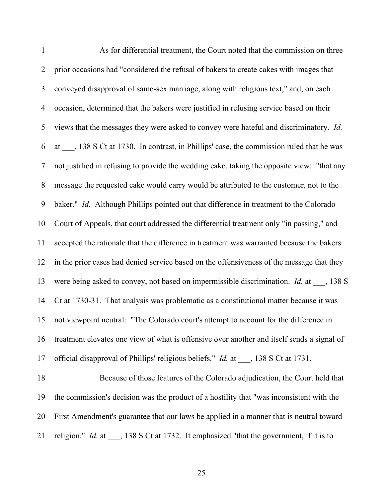| $\mathbf{1}$   | As for differential treatment, the Court noted that the commission on three                     |
|----------------|-------------------------------------------------------------------------------------------------|
| $\overline{2}$ | prior occasions had "considered the refusal of bakers to create cakes with images that          |
| $\mathfrak{Z}$ | conveyed disapproval of same-sex marriage, along with religious text," and, on each             |
| $\overline{4}$ | occasion, determined that the bakers were justified in refusing service based on their          |
| 5              | views that the messages they were asked to convey were hateful and discriminatory. Id.          |
| 6              | at ___, 138 S Ct at 1730. In contrast, in Phillips' case, the commission ruled that he was      |
| 7              | not justified in refusing to provide the wedding cake, taking the opposite view: "that any      |
| $8\,$          | message the requested cake would carry would be attributed to the customer, not to the          |
| 9              | baker." Id. Although Phillips pointed out that difference in treatment to the Colorado          |
| 10             | Court of Appeals, that court addressed the differential treatment only "in passing," and        |
| 11             | accepted the rationale that the difference in treatment was warranted because the bakers        |
| 12             | in the prior cases had denied service based on the offensiveness of the message that they       |
| 13             | were being asked to convey, not based on impermissible discrimination. $Id$ . at ___, 138 S     |
| 14             | Ct at 1730-31. That analysis was problematic as a constitutional matter because it was          |
| 15             | not viewpoint neutral: "The Colorado court's attempt to account for the difference in           |
| 16             | treatment elevates one view of what is offensive over another and itself sends a signal of      |
| 17             | official disapproval of Phillips' religious beliefs." <i>Id.</i> at ___, 138 S Ct at 1731.      |
| 18             | Because of those features of the Colorado adjudication, the Court held that                     |
| 19             | the commission's decision was the product of a hostility that "was inconsistent with the        |
| 20             | First Amendment's guarantee that our laws be applied in a manner that is neutral toward         |
| 21             | religion." <i>Id.</i> at ___, 138 S Ct at 1732. It emphasized "that the government, if it is to |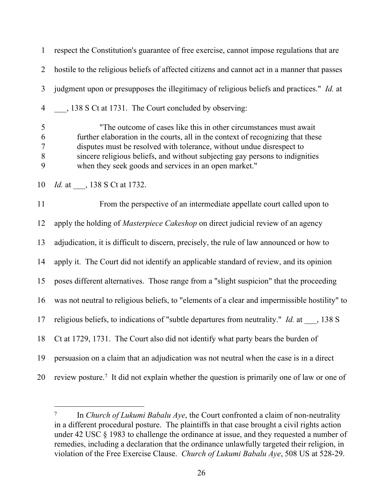1 respect the Constitution's guarantee of free exercise, cannot impose regulations that are 2 hostile to the religious beliefs of affected citizens and cannot act in a manner that passes 3 judgment upon or presupposes the illegitimacy of religious beliefs and practices." *Id.* at 4 \_\_\_, 138 S Ct at 1731. The Court concluded by observing:

5 "The outcome of cases like this in other circumstances must await 6 further elaboration in the courts, all in the context of recognizing that these 7 disputes must be resolved with tolerance, without undue disrespect to 8 sincere religious beliefs, and without subjecting gay persons to indignities 9 when they seek goods and services in an open market."

10 *Id.* at \_\_\_, 138 S Ct at 1732.

11 From the perspective of an intermediate appellate court called upon to 12 apply the holding of *Masterpiece Cakeshop* on direct judicial review of an agency 13 adjudication, it is difficult to discern, precisely, the rule of law announced or how to 14 apply it. The Court did not identify an applicable standard of review, and its opinion 15 poses different alternatives. Those range from a "slight suspicion" that the proceeding 16 was not neutral to religious beliefs, to "elements of a clear and impermissible hostility" to 17 religious beliefs, to indications of "subtle departures from neutrality." *Id.* at , 138 S 18 Ct at 1729, 1731. The Court also did not identify what party bears the burden of 19 persuasion on a claim that an adjudication was not neutral when the case is in a direct

20 review posture.<sup>7</sup> It did not explain whether the question is primarily one of law or one of

<sup>7</sup> In *Church of Lukumi Babalu Aye*, the Court confronted a claim of non-neutrality in a different procedural posture. The plaintiffs in that case brought a civil rights action under 42 USC § 1983 to challenge the ordinance at issue, and they requested a number of remedies, including a declaration that the ordinance unlawfully targeted their religion, in violation of the Free Exercise Clause. *Church of Lukumi Babalu Aye*, 508 US at 528-29.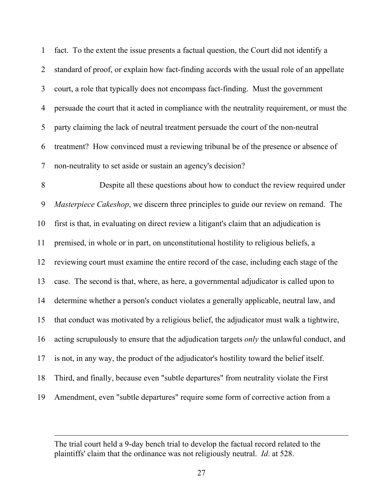1 fact. To the extent the issue presents a factual question, the Court did not identify a 2 standard of proof, or explain how fact-finding accords with the usual role of an appellate 3 court, a role that typically does not encompass fact-finding. Must the government 4 persuade the court that it acted in compliance with the neutrality requirement, or must the 5 party claiming the lack of neutral treatment persuade the court of the non-neutral 6 treatment? How convinced must a reviewing tribunal be of the presence or absence of 7 non-neutrality to set aside or sustain an agency's decision? 8 Despite all these questions about how to conduct the review required under 9 *Masterpiece Cakeshop*, we discern three principles to guide our review on remand. The 10 first is that, in evaluating on direct review a litigant's claim that an adjudication is 11 premised, in whole or in part, on unconstitutional hostility to religious beliefs, a 12 reviewing court must examine the entire record of the case, including each stage of the 13 case. The second is that, where, as here, a governmental adjudicator is called upon to 14 determine whether a person's conduct violates a generally applicable, neutral law, and 15 that conduct was motivated by a religious belief, the adjudicator must walk a tightwire, 16 acting scrupulously to ensure that the adjudication targets *only* the unlawful conduct, and 17 is not, in any way, the product of the adjudicator's hostility toward the belief itself. 18 Third, and finally, because even "subtle departures" from neutrality violate the First 19 Amendment, even "subtle departures" require some form of corrective action from a

The trial court held a 9-day bench trial to develop the factual record related to the plaintiffs' claim that the ordinance was not religiously neutral. *Id*. at 528.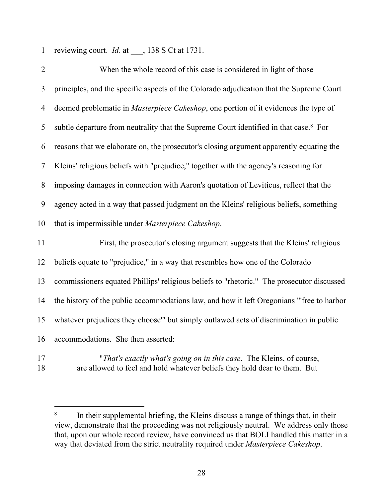1 reviewing court. *Id*. at \_\_\_, 138 S Ct at 1731.

| $\overline{2}$ | When the whole record of this case is considered in light of those                                |
|----------------|---------------------------------------------------------------------------------------------------|
| 3              | principles, and the specific aspects of the Colorado adjudication that the Supreme Court          |
| 4              | deemed problematic in Masterpiece Cakeshop, one portion of it evidences the type of               |
| 5              | subtle departure from neutrality that the Supreme Court identified in that case. <sup>8</sup> For |
| 6              | reasons that we elaborate on, the prosecutor's closing argument apparently equating the           |
| 7              | Kleins' religious beliefs with "prejudice," together with the agency's reasoning for              |
| 8              | imposing damages in connection with Aaron's quotation of Leviticus, reflect that the              |
| 9              | agency acted in a way that passed judgment on the Kleins' religious beliefs, something            |
| 10             | that is impermissible under Masterpiece Cakeshop.                                                 |
| 11             | First, the prosecutor's closing argument suggests that the Kleins' religious                      |
| 12             | beliefs equate to "prejudice," in a way that resembles how one of the Colorado                    |
| 13             | commissioners equated Phillips' religious beliefs to "rhetoric." The prosecutor discussed         |
| 14             | the history of the public accommodations law, and how it left Oregonians "'free to harbor         |
| 15             | whatever prejudices they choose" but simply outlawed acts of discrimination in public             |
| 16             | accommodations. She then asserted:                                                                |
|                |                                                                                                   |

17 "*That's exactly what's going on in this case*. The Kleins, of course, 18 are allowed to feel and hold whatever beliefs they hold dear to them. But

<sup>8</sup> In their supplemental briefing, the Kleins discuss a range of things that, in their view, demonstrate that the proceeding was not religiously neutral. We address only those that, upon our whole record review, have convinced us that BOLI handled this matter in a way that deviated from the strict neutrality required under *Masterpiece Cakeshop*.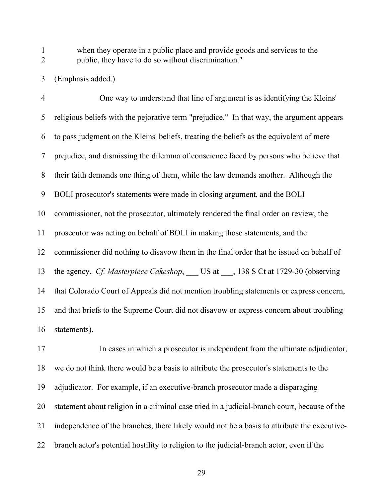1 when they operate in a public place and provide goods and services to the 2 public, they have to do so without discrimination."

3 (Emphasis added.)

4 One way to understand that line of argument is as identifying the Kleins' 5 religious beliefs with the pejorative term "prejudice." In that way, the argument appears 6 to pass judgment on the Kleins' beliefs, treating the beliefs as the equivalent of mere 7 prejudice, and dismissing the dilemma of conscience faced by persons who believe that 8 their faith demands one thing of them, while the law demands another. Although the 9 BOLI prosecutor's statements were made in closing argument, and the BOLI 10 commissioner, not the prosecutor, ultimately rendered the final order on review, the 11 prosecutor was acting on behalf of BOLI in making those statements, and the 12 commissioner did nothing to disavow them in the final order that he issued on behalf of 13 the agency. *Cf. Masterpiece Cakeshop*, US at , 138 S Ct at 1729-30 (observing 14 that Colorado Court of Appeals did not mention troubling statements or express concern, 15 and that briefs to the Supreme Court did not disavow or express concern about troubling 16 statements).

17 In cases in which a prosecutor is independent from the ultimate adjudicator, 18 we do not think there would be a basis to attribute the prosecutor's statements to the 19 adjudicator. For example, if an executive-branch prosecutor made a disparaging 20 statement about religion in a criminal case tried in a judicial-branch court, because of the 21 independence of the branches, there likely would not be a basis to attribute the executive-22 branch actor's potential hostility to religion to the judicial-branch actor, even if the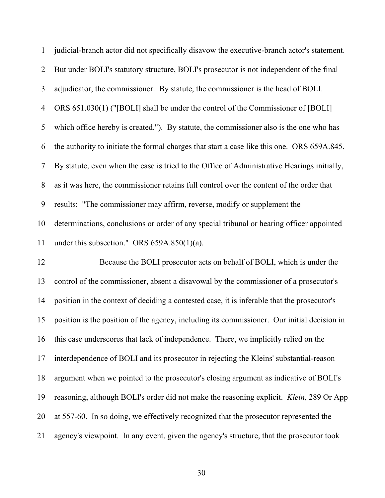| $\mathbf{1}$   | judicial-branch actor did not specifically disavow the executive-branch actor's statement.  |
|----------------|---------------------------------------------------------------------------------------------|
| $\overline{2}$ | But under BOLI's statutory structure, BOLI's prosecutor is not independent of the final     |
| 3              | adjudicator, the commissioner. By statute, the commissioner is the head of BOLI.            |
| 4              | ORS 651.030(1) ("[BOLI] shall be under the control of the Commissioner of [BOLI]            |
| 5              | which office hereby is created."). By statute, the commissioner also is the one who has     |
| 6              | the authority to initiate the formal charges that start a case like this one. ORS 659A.845. |
| 7              | By statute, even when the case is tried to the Office of Administrative Hearings initially, |
| 8              | as it was here, the commissioner retains full control over the content of the order that    |
| 9              | results: "The commissioner may affirm, reverse, modify or supplement the                    |
| 10             | determinations, conclusions or order of any special tribunal or hearing officer appointed   |
| 11             | under this subsection." ORS $659A.850(1)(a)$ .                                              |
| 12             | Because the BOLI prosecutor acts on behalf of BOLI, which is under the                      |
| 13             | control of the commissioner, absent a disavowal by the commissioner of a prosecutor's       |
| 14             | position in the context of deciding a contested case, it is inferable that the prosecutor's |
| 15             | position is the position of the agency, including its commissioner. Our initial decision in |
| 16             | this case underscores that lack of independence. There, we implicitly relied on the         |
| 17             | interdependence of BOLI and its prosecutor in rejecting the Kleins' substantial-reason      |
| 18             | argument when we pointed to the prosecutor's closing argument as indicative of BOLI's       |
| 19             | reasoning, although BOLI's order did not make the reasoning explicit. Klein, 289 Or App     |
| 20             | at 557-60. In so doing, we effectively recognized that the prosecutor represented the       |
| 21             | agency's viewpoint. In any event, given the agency's structure, that the prosecutor took    |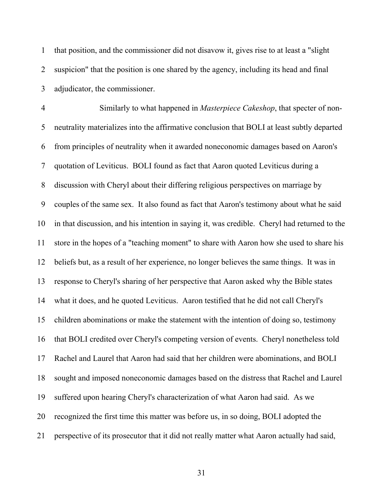1 that position, and the commissioner did not disavow it, gives rise to at least a "slight 2 suspicion" that the position is one shared by the agency, including its head and final 3 adjudicator, the commissioner.

4 Similarly to what happened in *Masterpiece Cakeshop*, that specter of non-5 neutrality materializes into the affirmative conclusion that BOLI at least subtly departed 6 from principles of neutrality when it awarded noneconomic damages based on Aaron's 7 quotation of Leviticus. BOLI found as fact that Aaron quoted Leviticus during a 8 discussion with Cheryl about their differing religious perspectives on marriage by 9 couples of the same sex. It also found as fact that Aaron's testimony about what he said 10 in that discussion, and his intention in saying it, was credible. Cheryl had returned to the 11 store in the hopes of a "teaching moment" to share with Aaron how she used to share his 12 beliefs but, as a result of her experience, no longer believes the same things. It was in 13 response to Cheryl's sharing of her perspective that Aaron asked why the Bible states 14 what it does, and he quoted Leviticus. Aaron testified that he did not call Cheryl's 15 children abominations or make the statement with the intention of doing so, testimony 16 that BOLI credited over Cheryl's competing version of events. Cheryl nonetheless told 17 Rachel and Laurel that Aaron had said that her children were abominations, and BOLI 18 sought and imposed noneconomic damages based on the distress that Rachel and Laurel 19 suffered upon hearing Cheryl's characterization of what Aaron had said. As we 20 recognized the first time this matter was before us, in so doing, BOLI adopted the 21 perspective of its prosecutor that it did not really matter what Aaron actually had said,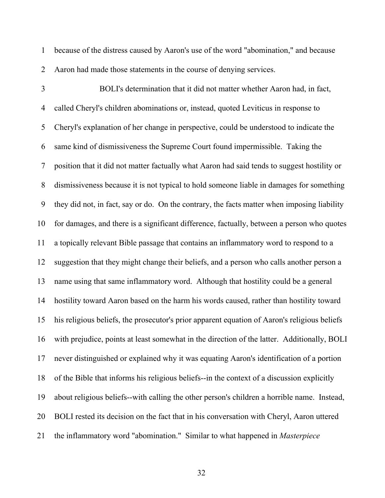1 because of the distress caused by Aaron's use of the word "abomination," and because 2 Aaron had made those statements in the course of denying services.

3 BOLI's determination that it did not matter whether Aaron had, in fact, 4 called Cheryl's children abominations or, instead, quoted Leviticus in response to 5 Cheryl's explanation of her change in perspective, could be understood to indicate the 6 same kind of dismissiveness the Supreme Court found impermissible. Taking the 7 position that it did not matter factually what Aaron had said tends to suggest hostility or 8 dismissiveness because it is not typical to hold someone liable in damages for something 9 they did not, in fact, say or do. On the contrary, the facts matter when imposing liability 10 for damages, and there is a significant difference, factually, between a person who quotes 11 a topically relevant Bible passage that contains an inflammatory word to respond to a 12 suggestion that they might change their beliefs, and a person who calls another person a 13 name using that same inflammatory word. Although that hostility could be a general 14 hostility toward Aaron based on the harm his words caused, rather than hostility toward 15 his religious beliefs, the prosecutor's prior apparent equation of Aaron's religious beliefs 16 with prejudice, points at least somewhat in the direction of the latter. Additionally, BOLI 17 never distinguished or explained why it was equating Aaron's identification of a portion 18 of the Bible that informs his religious beliefs--in the context of a discussion explicitly 19 about religious beliefs--with calling the other person's children a horrible name. Instead, 20 BOLI rested its decision on the fact that in his conversation with Cheryl, Aaron uttered 21 the inflammatory word "abomination." Similar to what happened in *Masterpiece*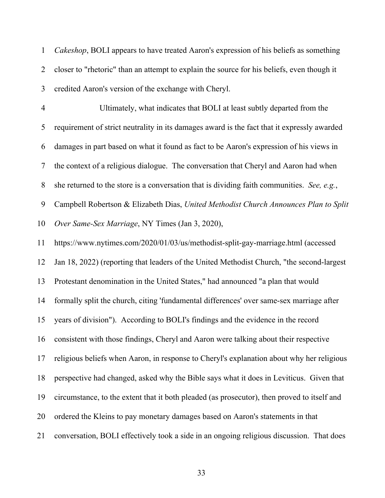1 *Cakeshop*, BOLI appears to have treated Aaron's expression of his beliefs as something 2 closer to "rhetoric" than an attempt to explain the source for his beliefs, even though it 3 credited Aaron's version of the exchange with Cheryl.

4 Ultimately, what indicates that BOLI at least subtly departed from the 5 requirement of strict neutrality in its damages award is the fact that it expressly awarded 6 damages in part based on what it found as fact to be Aaron's expression of his views in 7 the context of a religious dialogue. The conversation that Cheryl and Aaron had when 8 she returned to the store is a conversation that is dividing faith communities. *See, e.g.*, 9 Campbell Robertson & Elizabeth Dias, *United Methodist Church Announces Plan to Split*  10 *Over Same-Sex Marriage*, NY Times (Jan 3, 2020),

11 https://www.nytimes.com/2020/01/03/us/methodist-split-gay-marriage.html (accessed 12 Jan 18, 2022) (reporting that leaders of the United Methodist Church, "the second-largest 13 Protestant denomination in the United States," had announced "a plan that would 14 formally split the church, citing 'fundamental differences' over same-sex marriage after 15 years of division"). According to BOLI's findings and the evidence in the record 16 consistent with those findings, Cheryl and Aaron were talking about their respective 17 religious beliefs when Aaron, in response to Cheryl's explanation about why her religious 18 perspective had changed, asked why the Bible says what it does in Leviticus. Given that 19 circumstance, to the extent that it both pleaded (as prosecutor), then proved to itself and 20 ordered the Kleins to pay monetary damages based on Aaron's statements in that 21 conversation, BOLI effectively took a side in an ongoing religious discussion. That does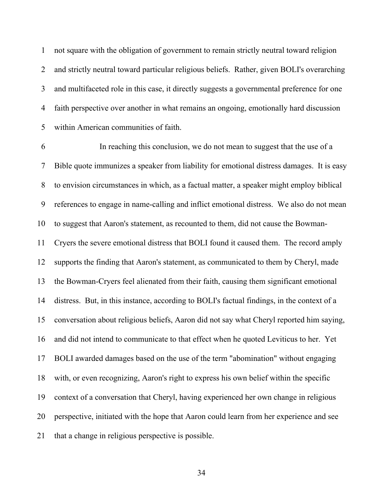1 not square with the obligation of government to remain strictly neutral toward religion 2 and strictly neutral toward particular religious beliefs. Rather, given BOLI's overarching 3 and multifaceted role in this case, it directly suggests a governmental preference for one 4 faith perspective over another in what remains an ongoing, emotionally hard discussion 5 within American communities of faith.

6 In reaching this conclusion, we do not mean to suggest that the use of a 7 Bible quote immunizes a speaker from liability for emotional distress damages. It is easy 8 to envision circumstances in which, as a factual matter, a speaker might employ biblical 9 references to engage in name-calling and inflict emotional distress. We also do not mean 10 to suggest that Aaron's statement, as recounted to them, did not cause the Bowman-11 Cryers the severe emotional distress that BOLI found it caused them. The record amply 12 supports the finding that Aaron's statement, as communicated to them by Cheryl, made 13 the Bowman-Cryers feel alienated from their faith, causing them significant emotional 14 distress. But, in this instance, according to BOLI's factual findings, in the context of a 15 conversation about religious beliefs, Aaron did not say what Cheryl reported him saying, 16 and did not intend to communicate to that effect when he quoted Leviticus to her. Yet 17 BOLI awarded damages based on the use of the term "abomination" without engaging 18 with, or even recognizing, Aaron's right to express his own belief within the specific 19 context of a conversation that Cheryl, having experienced her own change in religious 20 perspective, initiated with the hope that Aaron could learn from her experience and see 21 that a change in religious perspective is possible.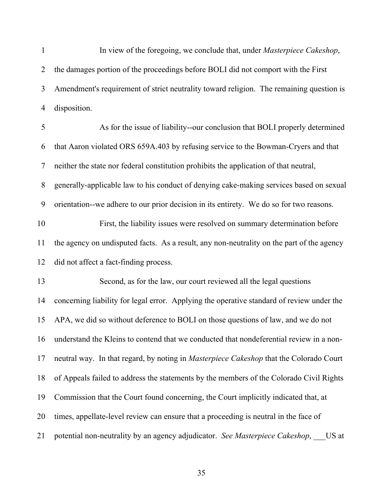1 In view of the foregoing, we conclude that, under *Masterpiece Cakeshop*, 2 the damages portion of the proceedings before BOLI did not comport with the First 3 Amendment's requirement of strict neutrality toward religion. The remaining question is 4 disposition.

5 As for the issue of liability--our conclusion that BOLI properly determined 6 that Aaron violated ORS 659A.403 by refusing service to the Bowman-Cryers and that 7 neither the state nor federal constitution prohibits the application of that neutral, 8 generally-applicable law to his conduct of denying cake-making services based on sexual 9 orientation--we adhere to our prior decision in its entirety. We do so for two reasons. 10 First, the liability issues were resolved on summary determination before 11 the agency on undisputed facts. As a result, any non-neutrality on the part of the agency 12 did not affect a fact-finding process. 13 Second, as for the law, our court reviewed all the legal questions 14 concerning liability for legal error. Applying the operative standard of review under the 15 APA, we did so without deference to BOLI on those questions of law, and we do not 16 understand the Kleins to contend that we conducted that nondeferential review in a non-17 neutral way. In that regard, by noting in *Masterpiece Cakeshop* that the Colorado Court 18 of Appeals failed to address the statements by the members of the Colorado Civil Rights 19 Commission that the Court found concerning, the Court implicitly indicated that, at 20 times, appellate-level review can ensure that a proceeding is neutral in the face of 21 potential non-neutrality by an agency adjudicator. *See Masterpiece Cakeshop*, US at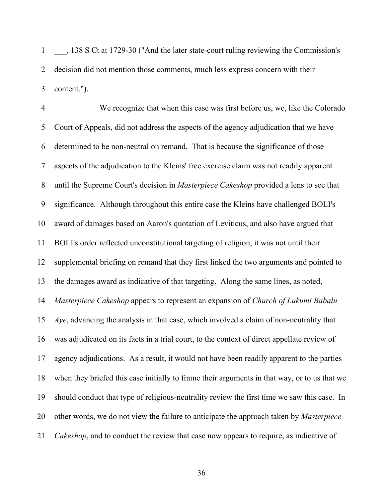1 \_\_\_, 138 S Ct at 1729-30 ("And the later state-court ruling reviewing the Commission's 2 decision did not mention those comments, much less express concern with their 3 content.").

4 We recognize that when this case was first before us, we, like the Colorado 5 Court of Appeals, did not address the aspects of the agency adjudication that we have 6 determined to be non-neutral on remand. That is because the significance of those 7 aspects of the adjudication to the Kleins' free exercise claim was not readily apparent 8 until the Supreme Court's decision in *Masterpiece Cakeshop* provided a lens to see that 9 significance. Although throughout this entire case the Kleins have challenged BOLI's 10 award of damages based on Aaron's quotation of Leviticus, and also have argued that 11 BOLI's order reflected unconstitutional targeting of religion, it was not until their 12 supplemental briefing on remand that they first linked the two arguments and pointed to 13 the damages award as indicative of that targeting. Along the same lines, as noted, 14 *Masterpiece Cakeshop* appears to represent an expansion of *Church of Lukumi Babalu*  15 *Aye*, advancing the analysis in that case, which involved a claim of non-neutrality that 16 was adjudicated on its facts in a trial court, to the context of direct appellate review of 17 agency adjudications. As a result, it would not have been readily apparent to the parties 18 when they briefed this case initially to frame their arguments in that way, or to us that we 19 should conduct that type of religious-neutrality review the first time we saw this case. In 20 other words, we do not view the failure to anticipate the approach taken by *Masterpiece*  21 *Cakeshop*, and to conduct the review that case now appears to require, as indicative of